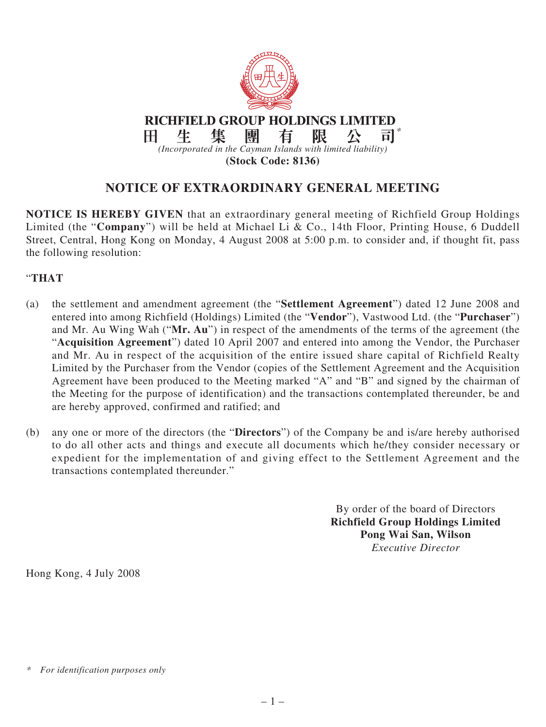

## **NOTICE OF EXTRAORDINARY GENERAL MEETING**

**NOTICE IS HEREBY GIVEN** that an extraordinary general meeting of Richfield Group Holdings Limited (the "**Company**") will be held at Michael Li & Co., 14th Floor, Printing House, 6 Duddell Street, Central, Hong Kong on Monday, 4 August 2008 at 5:00 p.m. to consider and, if thought fit, pass the following resolution:

## "**THAT**

- (a) the settlement and amendment agreement (the "**Settlement Agreement**") dated 12 June 2008 and entered into among Richfield (Holdings) Limited (the "**Vendor**"), Vastwood Ltd. (the "**Purchaser**") and Mr. Au Wing Wah ("**Mr. Au**") in respect of the amendments of the terms of the agreement (the "**Acquisition Agreement**") dated 10 April 2007 and entered into among the Vendor, the Purchaser and Mr. Au in respect of the acquisition of the entire issued share capital of Richfield Realty Limited by the Purchaser from the Vendor (copies of the Settlement Agreement and the Acquisition Agreement have been produced to the Meeting marked "A" and "B" and signed by the chairman of the Meeting for the purpose of identification) and the transactions contemplated thereunder, be and are hereby approved, confirmed and ratified; and
- (b) any one or more of the directors (the "**Directors**") of the Company be and is/are hereby authorised to do all other acts and things and execute all documents which he/they consider necessary or expedient for the implementation of and giving effect to the Settlement Agreement and the transactions contemplated thereunder."

By order of the board of Directors **Richfield Group Holdings Limited Pong Wai San, Wilson** *Executive Director*

Hong Kong, 4 July 2008

*<sup>\*</sup> For identification purposes only*